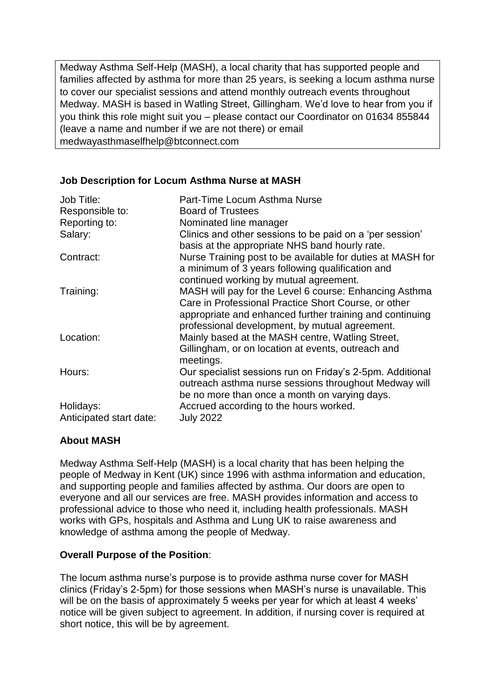Medway Asthma Self-Help (MASH), a local charity that has supported people and families affected by asthma for more than 25 years, is seeking a locum asthma nurse to cover our specialist sessions and attend monthly outreach events throughout Medway. MASH is based in Watling Street, Gillingham. We'd love to hear from you if you think this role might suit you – please contact our Coordinator on 01634 855844 (leave a name and number if we are not there) or email medwayasthmaselfhelp@btconnect.com

## **Job Description for Locum Asthma Nurse at MASH**

| Job Title:<br>Responsible to: | Part-Time Locum Asthma Nurse<br><b>Board of Trustees</b>                                                                                                                                                                     |
|-------------------------------|------------------------------------------------------------------------------------------------------------------------------------------------------------------------------------------------------------------------------|
| Reporting to:                 | Nominated line manager                                                                                                                                                                                                       |
| Salary:                       | Clinics and other sessions to be paid on a 'per session'<br>basis at the appropriate NHS band hourly rate.                                                                                                                   |
| Contract:                     | Nurse Training post to be available for duties at MASH for<br>a minimum of 3 years following qualification and<br>continued working by mutual agreement.                                                                     |
| Training:                     | MASH will pay for the Level 6 course: Enhancing Asthma<br>Care in Professional Practice Short Course, or other<br>appropriate and enhanced further training and continuing<br>professional development, by mutual agreement. |
| Location:                     | Mainly based at the MASH centre, Watling Street,<br>Gillingham, or on location at events, outreach and<br>meetings.                                                                                                          |
| Hours:                        | Our specialist sessions run on Friday's 2-5pm. Additional<br>outreach asthma nurse sessions throughout Medway will<br>be no more than once a month on varying days.                                                          |
| Holidays:                     | Accrued according to the hours worked.                                                                                                                                                                                       |
| Anticipated start date:       | <b>July 2022</b>                                                                                                                                                                                                             |

## **About MASH**

Medway Asthma Self-Help (MASH) is a local charity that has been helping the people of Medway in Kent (UK) since 1996 with asthma information and education, and supporting people and families affected by asthma. Our doors are open to everyone and all our services are free. MASH provides information and access to professional advice to those who need it, including health professionals. MASH works with GPs, hospitals and Asthma and Lung UK to raise awareness and knowledge of asthma among the people of Medway.

## **Overall Purpose of the Position**:

The locum asthma nurse's purpose is to provide asthma nurse cover for MASH clinics (Friday's 2-5pm) for those sessions when MASH's nurse is unavailable. This will be on the basis of approximately 5 weeks per year for which at least 4 weeks' notice will be given subject to agreement. In addition, if nursing cover is required at short notice, this will be by agreement.